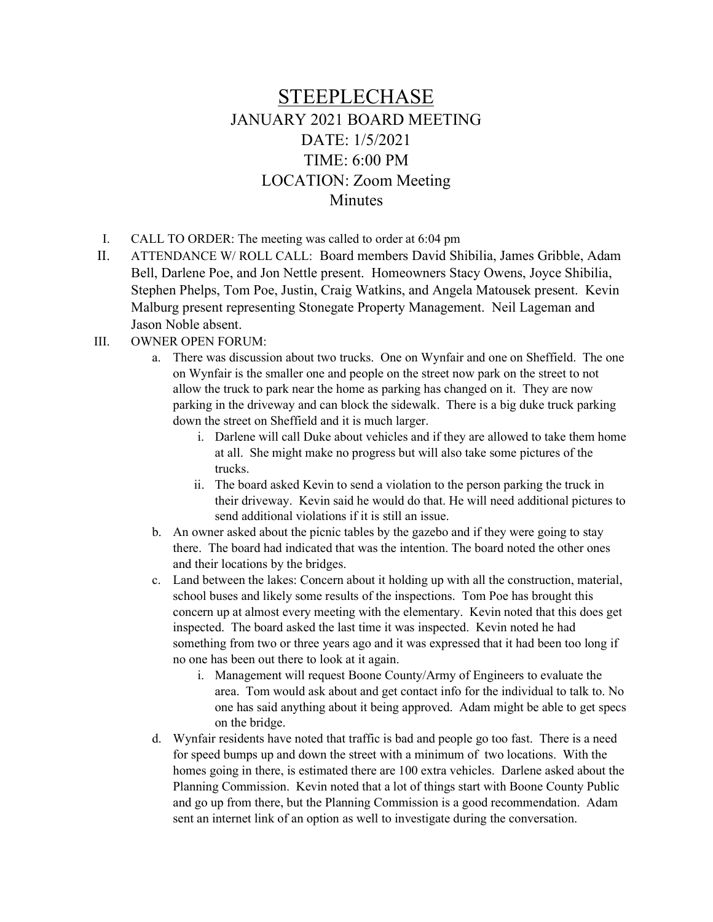## STEEPLECHASE JANUARY 2021 BOARD MEETING DATE: 1/5/2021 TIME: 6:00 PM LOCATION: Zoom Meeting **Minutes**

- I. CALL TO ORDER: The meeting was called to order at 6:04 pm
- II. ATTENDANCE W/ ROLL CALL: Board members David Shibilia, James Gribble, Adam Bell, Darlene Poe, and Jon Nettle present. Homeowners Stacy Owens, Joyce Shibilia, Stephen Phelps, Tom Poe, Justin, Craig Watkins, and Angela Matousek present. Kevin Malburg present representing Stonegate Property Management. Neil Lageman and Jason Noble absent.
- III. OWNER OPEN FORUM:
	- a. There was discussion about two trucks. One on Wynfair and one on Sheffield. The one on Wynfair is the smaller one and people on the street now park on the street to not allow the truck to park near the home as parking has changed on it. They are now parking in the driveway and can block the sidewalk. There is a big duke truck parking down the street on Sheffield and it is much larger.
		- i. Darlene will call Duke about vehicles and if they are allowed to take them home at all. She might make no progress but will also take some pictures of the trucks.
		- ii. The board asked Kevin to send a violation to the person parking the truck in their driveway. Kevin said he would do that. He will need additional pictures to send additional violations if it is still an issue.
	- b. An owner asked about the picnic tables by the gazebo and if they were going to stay there. The board had indicated that was the intention. The board noted the other ones and their locations by the bridges.
	- c. Land between the lakes: Concern about it holding up with all the construction, material, school buses and likely some results of the inspections. Tom Poe has brought this concern up at almost every meeting with the elementary. Kevin noted that this does get inspected. The board asked the last time it was inspected. Kevin noted he had something from two or three years ago and it was expressed that it had been too long if no one has been out there to look at it again.
		- i. Management will request Boone County/Army of Engineers to evaluate the area. Tom would ask about and get contact info for the individual to talk to. No one has said anything about it being approved. Adam might be able to get specs on the bridge.
	- d. Wynfair residents have noted that traffic is bad and people go too fast. There is a need for speed bumps up and down the street with a minimum of two locations. With the homes going in there, is estimated there are 100 extra vehicles. Darlene asked about the Planning Commission. Kevin noted that a lot of things start with Boone County Public and go up from there, but the Planning Commission is a good recommendation. Adam sent an internet link of an option as well to investigate during the conversation.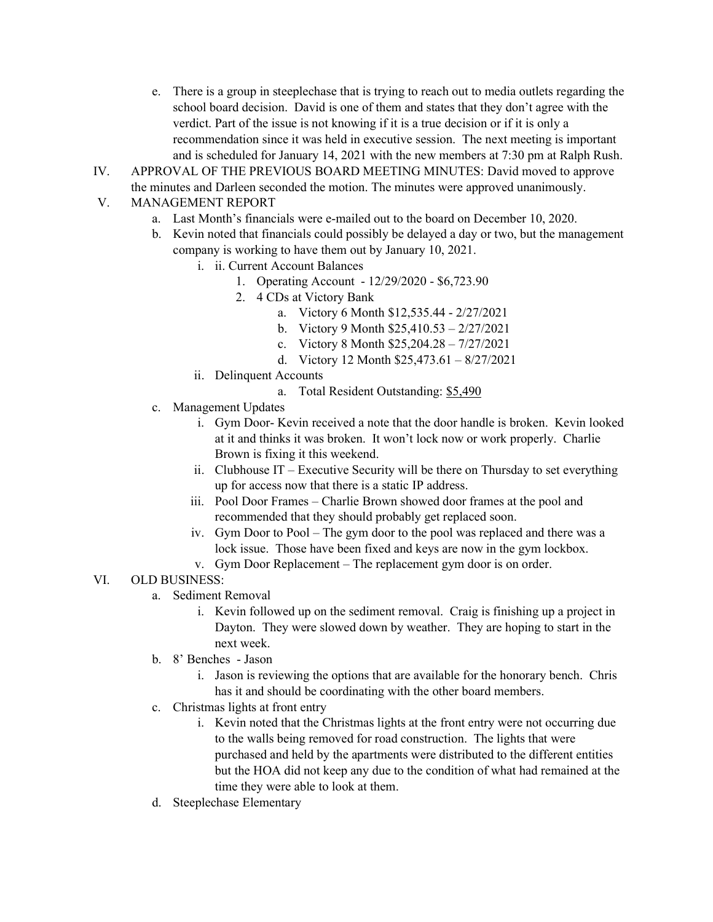- e. There is a group in steeplechase that is trying to reach out to media outlets regarding the school board decision. David is one of them and states that they don't agree with the verdict. Part of the issue is not knowing if it is a true decision or if it is only a recommendation since it was held in executive session. The next meeting is important and is scheduled for January 14, 2021 with the new members at 7:30 pm at Ralph Rush.
- IV. APPROVAL OF THE PREVIOUS BOARD MEETING MINUTES: David moved to approve the minutes and Darleen seconded the motion. The minutes were approved unanimously.

## V. MANAGEMENT REPORT

- a. Last Month's financials were e-mailed out to the board on December 10, 2020.
- b. Kevin noted that financials could possibly be delayed a day or two, but the management company is working to have them out by January 10, 2021.
	- i. ii. Current Account Balances
		- 1. Operating Account 12/29/2020 \$6,723.90
		- 2. 4 CDs at Victory Bank
			- a. Victory 6 Month \$12,535.44 2/27/2021
			- b. Victory 9 Month \$25,410.53 2/27/2021
			- c. Victory 8 Month \$25,204.28 7/27/2021
			- d. Victory 12 Month \$25,473.61 8/27/2021
	- ii. Delinquent Accounts
		- a. Total Resident Outstanding: \$5,490
- c. Management Updates
	- i. Gym Door- Kevin received a note that the door handle is broken. Kevin looked at it and thinks it was broken. It won't lock now or work properly. Charlie Brown is fixing it this weekend.
	- ii. Clubhouse IT Executive Security will be there on Thursday to set everything up for access now that there is a static IP address.
	- iii. Pool Door Frames Charlie Brown showed door frames at the pool and recommended that they should probably get replaced soon.
	- iv. Gym Door to Pool The gym door to the pool was replaced and there was a lock issue. Those have been fixed and keys are now in the gym lockbox.
	- v. Gym Door Replacement The replacement gym door is on order.

## VI. OLD BUSINESS:

- a. Sediment Removal
	- i. Kevin followed up on the sediment removal. Craig is finishing up a project in Dayton. They were slowed down by weather. They are hoping to start in the next week.
- b. 8' Benches Jason
	- i. Jason is reviewing the options that are available for the honorary bench. Chris has it and should be coordinating with the other board members.
- c. Christmas lights at front entry
	- i. Kevin noted that the Christmas lights at the front entry were not occurring due to the walls being removed for road construction. The lights that were purchased and held by the apartments were distributed to the different entities but the HOA did not keep any due to the condition of what had remained at the time they were able to look at them.
- d. Steeplechase Elementary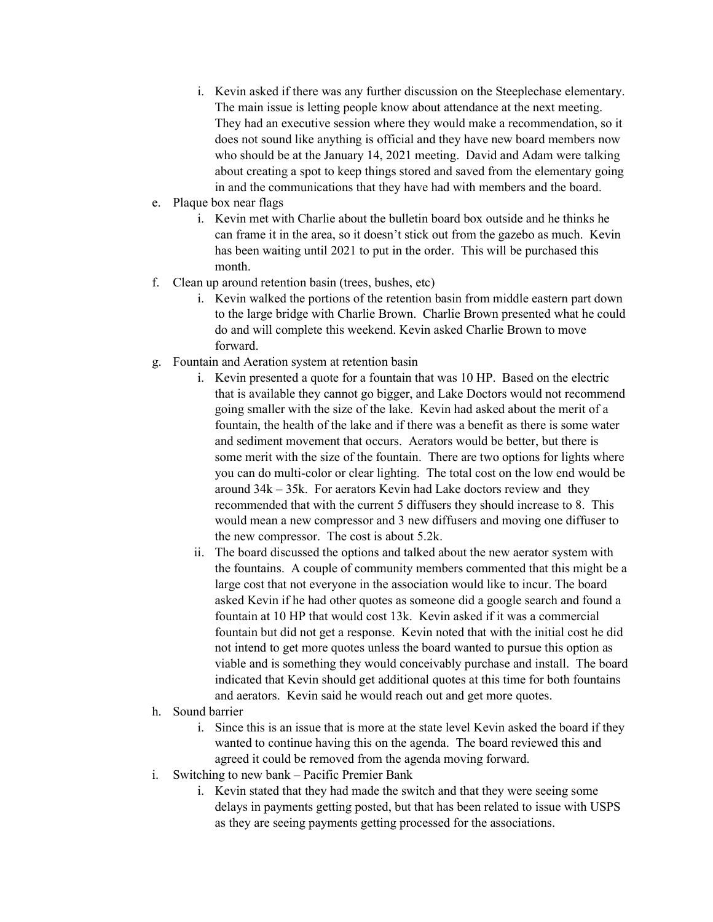- i. Kevin asked if there was any further discussion on the Steeplechase elementary. The main issue is letting people know about attendance at the next meeting. They had an executive session where they would make a recommendation, so it does not sound like anything is official and they have new board members now who should be at the January 14, 2021 meeting. David and Adam were talking about creating a spot to keep things stored and saved from the elementary going in and the communications that they have had with members and the board.
- e. Plaque box near flags
	- i. Kevin met with Charlie about the bulletin board box outside and he thinks he can frame it in the area, so it doesn't stick out from the gazebo as much. Kevin has been waiting until 2021 to put in the order. This will be purchased this month.
- f. Clean up around retention basin (trees, bushes, etc)
	- i. Kevin walked the portions of the retention basin from middle eastern part down to the large bridge with Charlie Brown. Charlie Brown presented what he could do and will complete this weekend. Kevin asked Charlie Brown to move forward.
- g. Fountain and Aeration system at retention basin
	- i. Kevin presented a quote for a fountain that was 10 HP. Based on the electric that is available they cannot go bigger, and Lake Doctors would not recommend going smaller with the size of the lake. Kevin had asked about the merit of a fountain, the health of the lake and if there was a benefit as there is some water and sediment movement that occurs. Aerators would be better, but there is some merit with the size of the fountain. There are two options for lights where you can do multi-color or clear lighting. The total cost on the low end would be around  $34k - 35k$ . For aerators Kevin had Lake doctors review and they recommended that with the current 5 diffusers they should increase to 8. This would mean a new compressor and 3 new diffusers and moving one diffuser to the new compressor. The cost is about 5.2k.
	- ii. The board discussed the options and talked about the new aerator system with the fountains. A couple of community members commented that this might be a large cost that not everyone in the association would like to incur. The board asked Kevin if he had other quotes as someone did a google search and found a fountain at 10 HP that would cost 13k. Kevin asked if it was a commercial fountain but did not get a response. Kevin noted that with the initial cost he did not intend to get more quotes unless the board wanted to pursue this option as viable and is something they would conceivably purchase and install. The board indicated that Kevin should get additional quotes at this time for both fountains and aerators. Kevin said he would reach out and get more quotes.
- h. Sound barrier
	- i. Since this is an issue that is more at the state level Kevin asked the board if they wanted to continue having this on the agenda. The board reviewed this and agreed it could be removed from the agenda moving forward.
- i. Switching to new bank Pacific Premier Bank
	- i. Kevin stated that they had made the switch and that they were seeing some delays in payments getting posted, but that has been related to issue with USPS as they are seeing payments getting processed for the associations.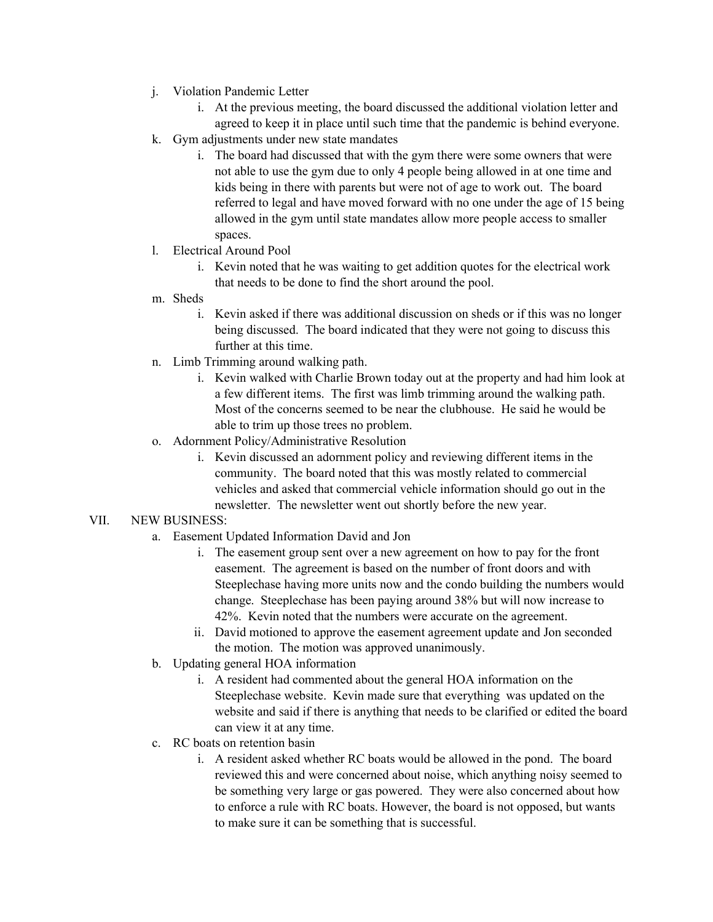- j. Violation Pandemic Letter
	- i. At the previous meeting, the board discussed the additional violation letter and agreed to keep it in place until such time that the pandemic is behind everyone.
- k. Gym adjustments under new state mandates
	- i. The board had discussed that with the gym there were some owners that were not able to use the gym due to only 4 people being allowed in at one time and kids being in there with parents but were not of age to work out. The board referred to legal and have moved forward with no one under the age of 15 being allowed in the gym until state mandates allow more people access to smaller spaces.
- l. Electrical Around Pool
	- i. Kevin noted that he was waiting to get addition quotes for the electrical work that needs to be done to find the short around the pool.
- m. Sheds
	- i. Kevin asked if there was additional discussion on sheds or if this was no longer being discussed. The board indicated that they were not going to discuss this further at this time.
- n. Limb Trimming around walking path.
	- i. Kevin walked with Charlie Brown today out at the property and had him look at a few different items. The first was limb trimming around the walking path. Most of the concerns seemed to be near the clubhouse. He said he would be able to trim up those trees no problem.
- o. Adornment Policy/Administrative Resolution
	- i. Kevin discussed an adornment policy and reviewing different items in the community. The board noted that this was mostly related to commercial vehicles and asked that commercial vehicle information should go out in the newsletter. The newsletter went out shortly before the new year.

## VII. NEW BUSINESS:

- a. Easement Updated Information David and Jon
	- i. The easement group sent over a new agreement on how to pay for the front easement. The agreement is based on the number of front doors and with Steeplechase having more units now and the condo building the numbers would change. Steeplechase has been paying around 38% but will now increase to 42%. Kevin noted that the numbers were accurate on the agreement.
	- ii. David motioned to approve the easement agreement update and Jon seconded the motion. The motion was approved unanimously.
- b. Updating general HOA information
	- i. A resident had commented about the general HOA information on the Steeplechase website. Kevin made sure that everything was updated on the website and said if there is anything that needs to be clarified or edited the board can view it at any time.
- c. RC boats on retention basin
	- i. A resident asked whether RC boats would be allowed in the pond. The board reviewed this and were concerned about noise, which anything noisy seemed to be something very large or gas powered. They were also concerned about how to enforce a rule with RC boats. However, the board is not opposed, but wants to make sure it can be something that is successful.